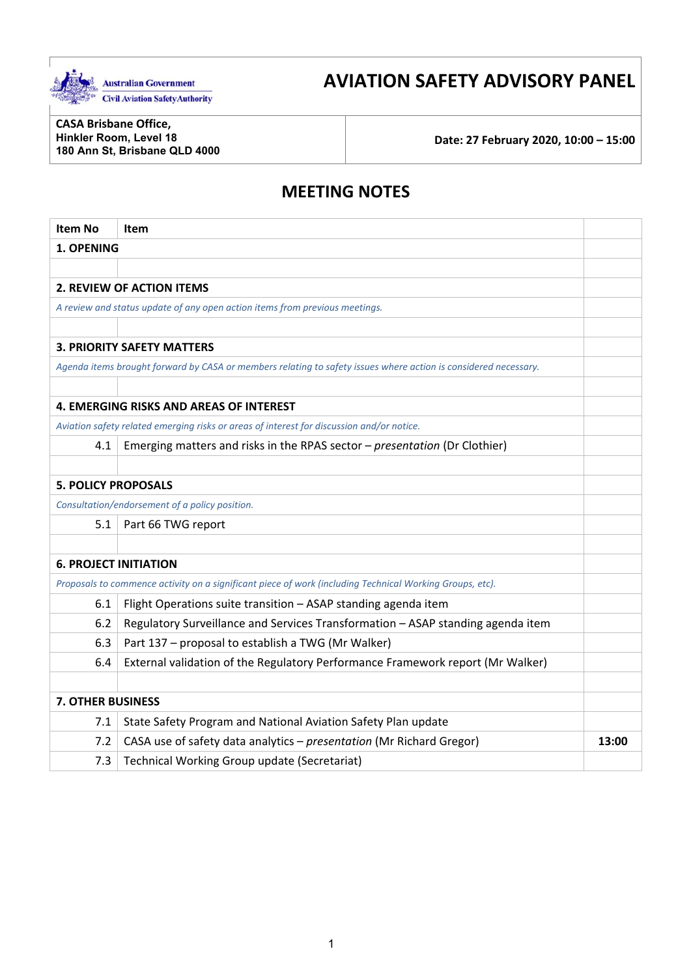

# **AVIATION SAFETY ADVISORY PANEL**

**CASA Brisbane Office, Hinkler Room, Level 18** 

**180 Ann St, Brisbane QLD 4000 Date: 27 February 2020, 10:00 – 15:00** 

## **MEETING NOTES**

| <b>Item No</b>                                                                                           | <b>Item</b>                                                                                                     |       |
|----------------------------------------------------------------------------------------------------------|-----------------------------------------------------------------------------------------------------------------|-------|
| 1. OPENING                                                                                               |                                                                                                                 |       |
|                                                                                                          |                                                                                                                 |       |
|                                                                                                          | <b>2. REVIEW OF ACTION ITEMS</b>                                                                                |       |
|                                                                                                          | A review and status update of any open action items from previous meetings.                                     |       |
|                                                                                                          |                                                                                                                 |       |
|                                                                                                          | <b>3. PRIORITY SAFETY MATTERS</b>                                                                               |       |
|                                                                                                          | Agenda items brought forward by CASA or members relating to safety issues where action is considered necessary. |       |
|                                                                                                          |                                                                                                                 |       |
|                                                                                                          | <b>4. EMERGING RISKS AND AREAS OF INTEREST</b>                                                                  |       |
|                                                                                                          | Aviation safety related emerging risks or areas of interest for discussion and/or notice.                       |       |
| 4.1                                                                                                      | Emerging matters and risks in the RPAS sector - presentation (Dr Clothier)                                      |       |
|                                                                                                          |                                                                                                                 |       |
| <b>5. POLICY PROPOSALS</b>                                                                               |                                                                                                                 |       |
|                                                                                                          | Consultation/endorsement of a policy position.                                                                  |       |
| 5.1                                                                                                      | Part 66 TWG report                                                                                              |       |
|                                                                                                          |                                                                                                                 |       |
| <b>6. PROJECT INITIATION</b>                                                                             |                                                                                                                 |       |
| Proposals to commence activity on a significant piece of work (including Technical Working Groups, etc). |                                                                                                                 |       |
| 6.1                                                                                                      | Flight Operations suite transition - ASAP standing agenda item                                                  |       |
| 6.2                                                                                                      | Regulatory Surveillance and Services Transformation - ASAP standing agenda item                                 |       |
| 6.3                                                                                                      | Part 137 - proposal to establish a TWG (Mr Walker)                                                              |       |
| 6.4                                                                                                      | External validation of the Regulatory Performance Framework report (Mr Walker)                                  |       |
|                                                                                                          |                                                                                                                 |       |
| <b>7. OTHER BUSINESS</b>                                                                                 |                                                                                                                 |       |
| 7.1                                                                                                      | State Safety Program and National Aviation Safety Plan update                                                   |       |
| 7.2                                                                                                      | CASA use of safety data analytics - presentation (Mr Richard Gregor)                                            | 13:00 |
| 7.3                                                                                                      | Technical Working Group update (Secretariat)                                                                    |       |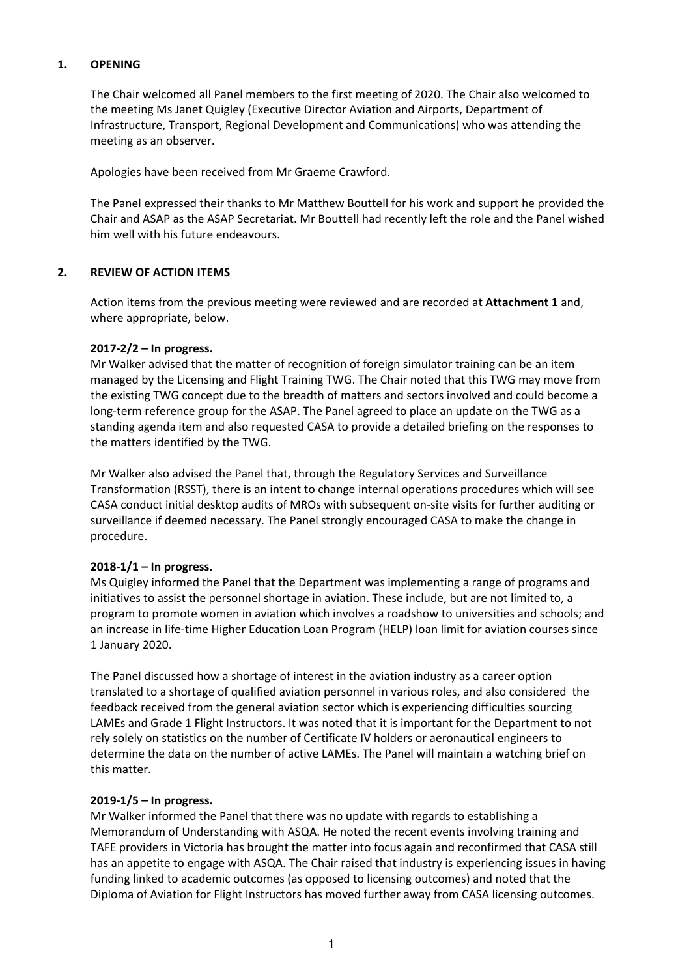#### **1. OPENING**

The Chair welcomed all Panel members to the first meeting of 2020. The Chair also welcomed to the meeting Ms Janet Quigley (Executive Director Aviation and Airports, Department of Infrastructure, Transport, Regional Development and Communications) who was attending the meeting as an observer.

Apologies have been received from Mr Graeme Crawford.

The Panel expressed their thanks to Mr Matthew Bouttell for his work and support he provided the Chair and ASAP as the ASAP Secretariat. Mr Bouttell had recently left the role and the Panel wished him well with his future endeavours.

## **2. REVIEW OF ACTION ITEMS**

Action items from the previous meeting were reviewed and are recorded at **Attachment 1** and, where appropriate, below.

#### **2017‐2/2 – In progress.**

Mr Walker advised that the matter of recognition of foreign simulator training can be an item managed by the Licensing and Flight Training TWG. The Chair noted that this TWG may move from the existing TWG concept due to the breadth of matters and sectors involved and could become a long-term reference group for the ASAP. The Panel agreed to place an update on the TWG as a standing agenda item and also requested CASA to provide a detailed briefing on the responses to the matters identified by the TWG.

Mr Walker also advised the Panel that, through the Regulatory Services and Surveillance Transformation (RSST), there is an intent to change internal operations procedures which will see CASA conduct initial desktop audits of MROs with subsequent on‐site visits for further auditing or surveillance if deemed necessary. The Panel strongly encouraged CASA to make the change in procedure.

#### **2018‐1/1 – In progress.**

 initiatives to assist the personnel shortage in aviation. These include, but are not limited to, a Ms Quigley informed the Panel that the Department was implementing a range of programs and program to promote women in aviation which involves a roadshow to universities and schools; and an increase in life-time Higher Education Loan Program (HELP) loan limit for aviation courses since 1 January 2020.

 determine the data on the number of active LAMEs. The Panel will maintain a watching brief on The Panel discussed how a shortage of interest in the aviation industry as a career option translated to a shortage of qualified aviation personnel in various roles, and also considered the feedback received from the general aviation sector which is experiencing difficulties sourcing LAMEs and Grade 1 Flight Instructors. It was noted that it is important for the Department to not rely solely on statistics on the number of Certificate IV holders or aeronautical engineers to this matter.

#### **2019‐1/5 – In progress.**

Mr Walker informed the Panel that there was no update with regards to establishing a Memorandum of Understanding with ASQA. He noted the recent events involving training and TAFE providers in Victoria has brought the matter into focus again and reconfirmed that CASA still has an appetite to engage with ASQA. The Chair raised that industry is experiencing issues in having funding linked to academic outcomes (as opposed to licensing outcomes) and noted that the Diploma of Aviation for Flight Instructors has moved further away from CASA licensing outcomes.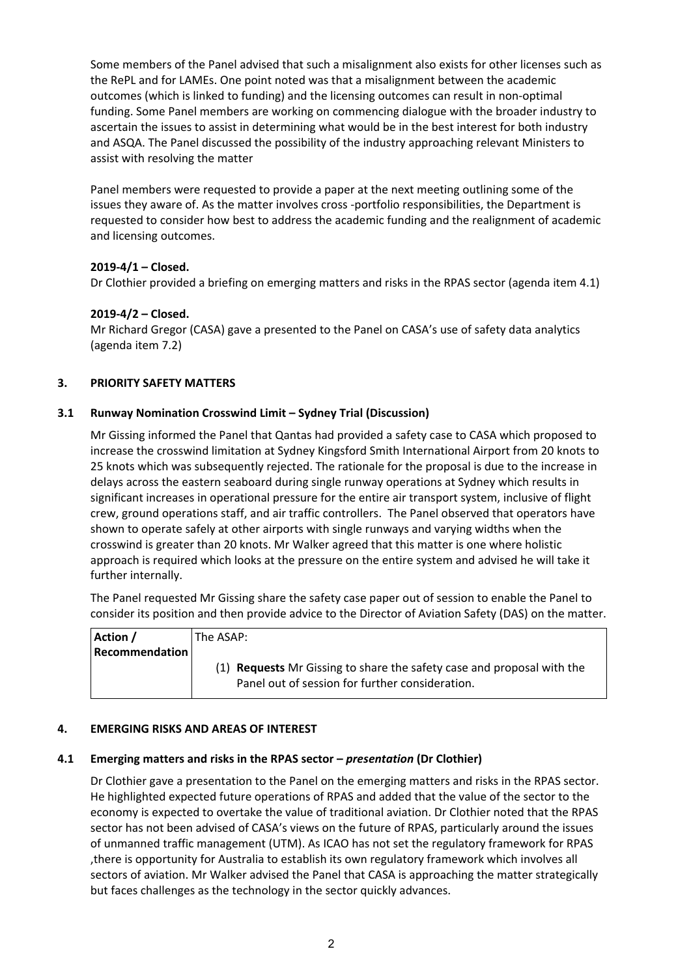Some members of the Panel advised that such a misalignment also exists for other licenses such as outcomes (which is linked to funding) and the licensing outcomes can result in non‐optimal the RePL and for LAMEs. One point noted was that a misalignment between the academic funding. Some Panel members are working on commencing dialogue with the broader industry to ascertain the issues to assist in determining what would be in the best interest for both industry and ASQA. The Panel discussed the possibility of the industry approaching relevant Ministers to assist with resolving the matter

 and licensing outcomes. Panel members were requested to provide a paper at the next meeting outlining some of the issues they aware of. As the matter involves cross ‐portfolio responsibilities, the Department is requested to consider how best to address the academic funding and the realignment of academic

## **2019‐4/1 – Closed.**

Dr Clothier provided a briefing on emerging matters and risks in the RPAS sector (agenda item 4.1)

## **2019‐4/2 – Closed.**

Mr Richard Gregor (CASA) gave a presented to the Panel on CASA's use of safety data analytics (agenda item 7.2)

## **3. PRIORITY SAFETY MATTERS**

## **3.1 Runway Nomination Crosswind Limit – Sydney Trial (Discussion)**

 delays across the eastern seaboard during single runway operations at Sydney which results in approach is required which looks at the pressure on the entire system and advised he will take it Mr Gissing informed the Panel that Qantas had provided a safety case to CASA which proposed to increase the crosswind limitation at Sydney Kingsford Smith International Airport from 20 knots to 25 knots which was subsequently rejected. The rationale for the proposal is due to the increase in significant increases in operational pressure for the entire air transport system, inclusive of flight crew, ground operations staff, and air traffic controllers. The Panel observed that operators have shown to operate safely at other airports with single runways and varying widths when the crosswind is greater than 20 knots. Mr Walker agreed that this matter is one where holistic further internally.

 The Panel requested Mr Gissing share the safety case paper out of session to enable the Panel to consider its position and then provide advice to the Director of Aviation Safety (DAS) on the matter.

| Action /       | The ASAP: \                                                                   |
|----------------|-------------------------------------------------------------------------------|
| Recommendation |                                                                               |
|                | (1) <b>Requests</b> Mr Gissing to share the safety case and proposal with the |
|                | Panel out of session for further consideration.                               |

## **4. EMERGING RISKS AND AREAS OF INTEREST**

## **4.1 Emerging matters and risks in the RPAS sector –** *presentation* **(Dr Clothier)**

 sectors of aviation. Mr Walker advised the Panel that CASA is approaching the matter strategically Dr Clothier gave a presentation to the Panel on the emerging matters and risks in the RPAS sector. He highlighted expected future operations of RPAS and added that the value of the sector to the economy is expected to overtake the value of traditional aviation. Dr Clothier noted that the RPAS sector has not been advised of CASA's views on the future of RPAS, particularly around the issues of unmanned traffic management (UTM). As ICAO has not set the regulatory framework for RPAS ,there is opportunity for Australia to establish its own regulatory framework which involves all but faces challenges as the technology in the sector quickly advances.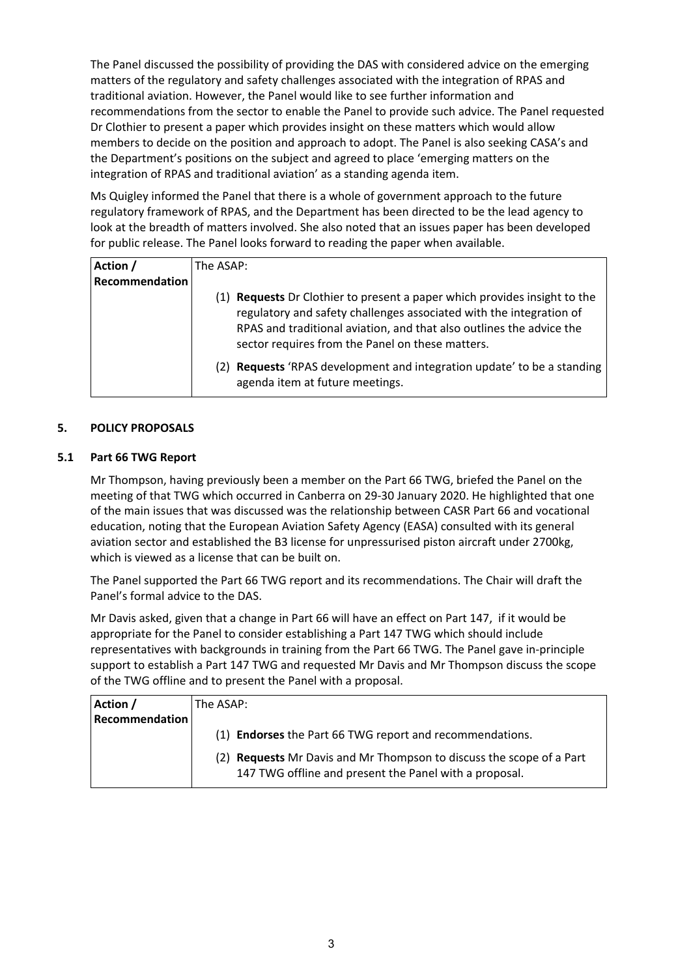The Panel discussed the possibility of providing the DAS with considered advice on the emerging matters of the regulatory and safety challenges associated with the integration of RPAS and traditional aviation. However, the Panel would like to see further information and recommendations from the sector to enable the Panel to provide such advice. The Panel requested Dr Clothier to present a paper which provides insight on these matters which would allow members to decide on the position and approach to adopt. The Panel is also seeking CASA's and the Department's positions on the subject and agreed to place 'emerging matters on the integration of RPAS and traditional aviation' as a standing agenda item.

Ms Quigley informed the Panel that there is a whole of government approach to the future regulatory framework of RPAS, and the Department has been directed to be the lead agency to look at the breadth of matters involved. She also noted that an issues paper has been developed for public release. The Panel looks forward to reading the paper when available.

| Action /       | The ASAP:                                                                                                                                                                                                                                                                    |  |
|----------------|------------------------------------------------------------------------------------------------------------------------------------------------------------------------------------------------------------------------------------------------------------------------------|--|
| Recommendation |                                                                                                                                                                                                                                                                              |  |
|                | (1) Requests Dr Clothier to present a paper which provides insight to the<br>regulatory and safety challenges associated with the integration of<br>RPAS and traditional aviation, and that also outlines the advice the<br>sector requires from the Panel on these matters. |  |
|                | <b>Requests</b> 'RPAS development and integration update' to be a standing<br>(2)<br>agenda item at future meetings.                                                                                                                                                         |  |

#### **5. POLICY PROPOSALS**

#### **5.1 Part 66 TWG Report**

 which is viewed as a license that can be built on. Mr Thompson, having previously been a member on the Part 66 TWG, briefed the Panel on the meeting of that TWG which occurred in Canberra on 29‐30 January 2020. He highlighted that one of the main issues that was discussed was the relationship between CASR Part 66 and vocational education, noting that the European Aviation Safety Agency (EASA) consulted with its general aviation sector and established the B3 license for unpressurised piston aircraft under 2700kg,

The Panel supported the Part 66 TWG report and its recommendations. The Chair will draft the Panel's formal advice to the DAS.

 appropriate for the Panel to consider establishing a Part 147 TWG which should include Mr Davis asked, given that a change in Part 66 will have an effect on Part 147, if it would be representatives with backgrounds in training from the Part 66 TWG. The Panel gave in‐principle support to establish a Part 147 TWG and requested Mr Davis and Mr Thompson discuss the scope of the TWG offline and to present the Panel with a proposal.

| Action /              | The ASAP:                                                                                                                                |
|-----------------------|------------------------------------------------------------------------------------------------------------------------------------------|
| <b>Recommendation</b> |                                                                                                                                          |
|                       | (1) Endorses the Part 66 TWG report and recommendations.                                                                                 |
|                       | <b>Requests</b> Mr Davis and Mr Thompson to discuss the scope of a Part<br>(2)<br>147 TWG offline and present the Panel with a proposal. |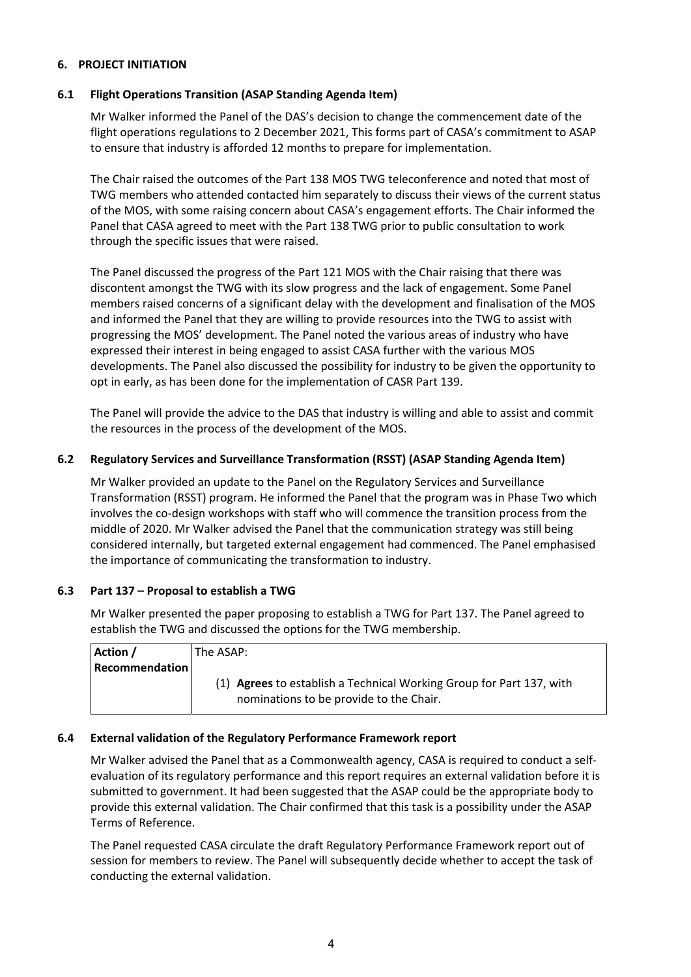#### **6. PROJECT INITIATION**

#### **6.1 Flight Operations Transition (ASAP Standing Agenda Item)**

Mr Walker informed the Panel of the DAS's decision to change the commencement date of the flight operations regulations to 2 December 2021, This forms part of CASA's commitment to ASAP to ensure that industry is afforded 12 months to prepare for implementation.

 The Chair raised the outcomes of the Part 138 MOS TWG teleconference and noted that most of of the MOS, with some raising concern about CASA's engagement efforts. The Chair informed the TWG members who attended contacted him separately to discuss their views of the current status Panel that CASA agreed to meet with the Part 138 TWG prior to public consultation to work through the specific issues that were raised.

The Panel discussed the progress of the Part 121 MOS with the Chair raising that there was discontent amongst the TWG with its slow progress and the lack of engagement. Some Panel members raised concerns of a significant delay with the development and finalisation of the MOS and informed the Panel that they are willing to provide resources into the TWG to assist with progressing the MOS' development. The Panel noted the various areas of industry who have expressed their interest in being engaged to assist CASA further with the various MOS developments. The Panel also discussed the possibility for industry to be given the opportunity to opt in early, as has been done for the implementation of CASR Part 139.

 The Panel will provide the advice to the DAS that industry is willing and able to assist and commit the resources in the process of the development of the MOS.

#### **6.2 Regulatory Services and Surveillance Transformation (RSST) (ASAP Standing Agenda Item)**

 involves the co‐design workshops with staff who will commence the transition process from the the importance of communicating the transformation to industry. Mr Walker provided an update to the Panel on the Regulatory Services and Surveillance Transformation (RSST) program. He informed the Panel that the program was in Phase Two which middle of 2020. Mr Walker advised the Panel that the communication strategy was still being considered internally, but targeted external engagement had commenced. The Panel emphasised

#### **6.3 Part 137 – Proposal to establish a TWG**

Mr Walker presented the paper proposing to establish a TWG for Part 137. The Panel agreed to establish the TWG and discussed the options for the TWG membership.

| Action /       | l The ASAP: l                                                        |
|----------------|----------------------------------------------------------------------|
| Recommendation |                                                                      |
|                | (1) Agrees to establish a Technical Working Group for Part 137, with |
|                | nominations to be provide to the Chair.                              |

#### **6.4 External validation of the Regulatory Performance Framework report**

Mr Walker advised the Panel that as a Commonwealth agency, CASA is required to conduct a self‐ evaluation of its regulatory performance and this report requires an external validation before it is submitted to government. It had been suggested that the ASAP could be the appropriate body to provide this external validation. The Chair confirmed that this task is a possibility under the ASAP Terms of Reference.

 The Panel requested CASA circulate the draft Regulatory Performance Framework report out of session for members to review. The Panel will subsequently decide whether to accept the task of conducting the external validation.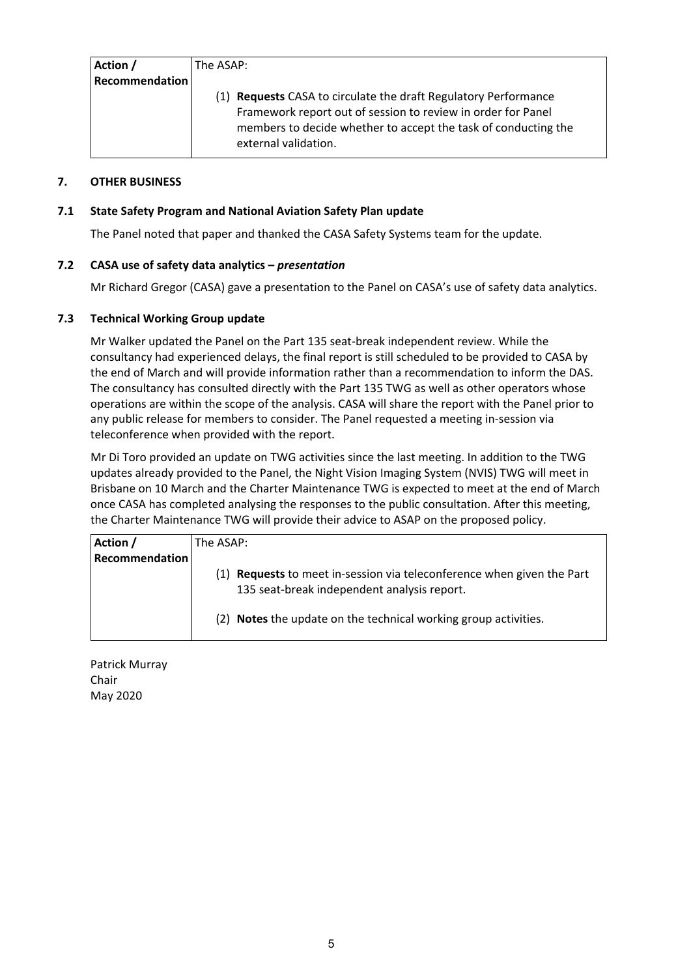| Action /       | The ASAP:                                                                                                                                                                                                                 |  |
|----------------|---------------------------------------------------------------------------------------------------------------------------------------------------------------------------------------------------------------------------|--|
| Recommendation |                                                                                                                                                                                                                           |  |
|                | (1) Requests CASA to circulate the draft Regulatory Performance<br>Framework report out of session to review in order for Panel<br>members to decide whether to accept the task of conducting the<br>external validation. |  |

## **7. OTHER BUSINESS**

#### **7.1 State Safety Program and National Aviation Safety Plan update**

The Panel noted that paper and thanked the CASA Safety Systems team for the update.

#### **7.2 CASA use of safety data analytics –** *presentation*

Mr Richard Gregor (CASA) gave a presentation to the Panel on CASA's use of safety data analytics.

#### **7.3 Technical Working Group update**

 operations are within the scope of the analysis. CASA will share the report with the Panel prior to teleconference when provided with the report. Mr Walker updated the Panel on the Part 135 seat‐break independent review. While the consultancy had experienced delays, the final report is still scheduled to be provided to CASA by the end of March and will provide information rather than a recommendation to inform the DAS. The consultancy has consulted directly with the Part 135 TWG as well as other operators whose any public release for members to consider. The Panel requested a meeting in‐session via

 Mr Di Toro provided an update on TWG activities since the last meeting. In addition to the TWG updates already provided to the Panel, the Night Vision Imaging System (NVIS) TWG will meet in Brisbane on 10 March and the Charter Maintenance TWG is expected to meet at the end of March once CASA has completed analysing the responses to the public consultation. After this meeting, the Charter Maintenance TWG will provide their advice to ASAP on the proposed policy.

| Action /       | The ASAP:                                                                                                                |  |
|----------------|--------------------------------------------------------------------------------------------------------------------------|--|
| Recommendation |                                                                                                                          |  |
|                | <b>Requests</b> to meet in-session via teleconference when given the Part<br>135 seat-break independent analysis report. |  |
|                | (2) Notes the update on the technical working group activities.                                                          |  |

Patrick Murray Chair May 2020